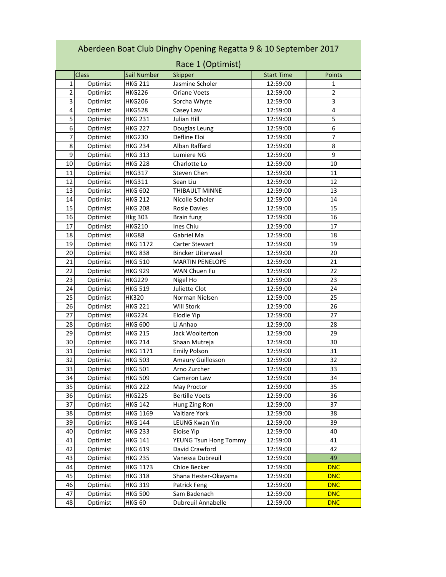| Aberdeen Boat Club Dinghy Opening Regatta 9 & 10 September 2017<br>Race 1 (Optimist) |              |                 |                          |                   |                |
|--------------------------------------------------------------------------------------|--------------|-----------------|--------------------------|-------------------|----------------|
|                                                                                      | <b>Class</b> | Sail Number     | Skipper                  | <b>Start Time</b> | <b>Points</b>  |
| 1                                                                                    | Optimist     | <b>HKG 211</b>  | Jasmine Scholer          | 12:59:00          | 1              |
| $\overline{2}$                                                                       | Optimist     | HKG226          | Oriane Voets             | 12:59:00          | $\overline{2}$ |
| 3                                                                                    | Optimist     | HKG206          | Sorcha Whyte             | 12:59:00          | 3              |
| 4                                                                                    | Optimist     | <b>HKG528</b>   | Casey Law                | 12:59:00          | 4              |
| 5                                                                                    | Optimist     | <b>HKG 231</b>  | Julian Hill              | 12:59:00          | 5              |
| 6                                                                                    | Optimist     | <b>HKG 227</b>  | Douglas Leung            | 12:59:00          | 6              |
| 7                                                                                    | Optimist     | <b>HKG230</b>   | Defline Eloi             | 12:59:00          | 7              |
| 8                                                                                    | Optimist     | <b>HKG 234</b>  | Alban Raffard            | 12:59:00          | 8              |
| 9                                                                                    | Optimist     | <b>HKG 313</b>  | Lumiere NG               | 12:59:00          | 9              |
| 10                                                                                   | Optimist     | <b>HKG 228</b>  | Charlotte Lo             | 12:59:00          | 10             |
| 11                                                                                   | Optimist     | <b>HKG317</b>   | Steven Chen              | 12:59:00          | 11             |
| 12                                                                                   | Optimist     | <b>HKG311</b>   | Sean Liu                 | 12:59:00          | 12             |
| 13                                                                                   | Optimist     | HKG 602         | THIBAULT MINNE           | 12:59:00          | 13             |
| 14                                                                                   | Optimist     | <b>HKG 212</b>  | Nicolle Scholer          | 12:59:00          | 14             |
| 15                                                                                   | Optimist     | <b>HKG 208</b>  | Rosie Davies             | 12:59:00          | 15             |
| 16                                                                                   | Optimist     | <b>Hkg 303</b>  | <b>Brain fung</b>        | 12:59:00          | 16             |
| 17                                                                                   | Optimist     | HKG210          | Ines Chiu                | 12:59:00          | 17             |
| 18                                                                                   | Optimist     | <b>HKG88</b>    | Gabriel Ma               | 12:59:00          | 18             |
| 19                                                                                   | Optimist     | HKG 1172        | <b>Carter Stewart</b>    | 12:59:00          | 19             |
| 20                                                                                   | Optimist     | <b>HKG 838</b>  | <b>Bincker Uiterwaal</b> | 12:59:00          | 20             |
| 21                                                                                   | Optimist     | <b>HKG 510</b>  | <b>MARTIN PENELOPE</b>   | 12:59:00          | 21             |
| 22                                                                                   | Optimist     | HKG 929         | WAN Chuen Fu             | 12:59:00          | 22             |
| 23                                                                                   | Optimist     | HKG229          | Nigel Ho                 | 12:59:00          | 23             |
| 24                                                                                   | Optimist     | HKG 519         | Juliette Clot            | 12:59:00          | 24             |
| 25                                                                                   | Optimist     | НК320           | Norman Nielsen           | 12:59:00          | 25             |
| 26                                                                                   | Optimist     | HKG 221         | Will Stork               | 12:59:00          | 26             |
| 27                                                                                   | Optimist     | <b>HKG224</b>   | Elodie Yip               | 12:59:00          | 27             |
| 28                                                                                   | Optimist     | HKG 600         | Li Anhao                 | 12:59:00          | 28             |
| 29                                                                                   | Optimist     | <b>HKG 215</b>  | Jack Woolterton          | 12:59:00          | 29             |
| 30                                                                                   | Optimist     | <b>HKG 214</b>  | Shaan Mutreja            | 12:59:00          | 30             |
| 31                                                                                   | Optimist     | <b>HKG 1171</b> | <b>Emily Polson</b>      | 12:59:00          | 31             |
| 32                                                                                   | Optimist     | <b>HKG 503</b>  | Amaury Guillosson        | 12:59:00          | 32             |
| 33                                                                                   | Optimist     | <b>HKG 501</b>  | Arno Zurcher             | 12:59:00          | 33             |
| 34                                                                                   | Optimist     | <b>HKG 509</b>  | Cameron Law              | 12:59:00          | 34             |
| 35                                                                                   | Optimist     | <b>HKG 222</b>  | May Proctor              | 12:59:00          | 35             |
| 36                                                                                   | Optimist     | <b>HKG225</b>   | <b>Bertille Voets</b>    | 12:59:00          | 36             |
| 37                                                                                   | Optimist     | <b>HKG 142</b>  | Hung Zing Ron            | 12:59:00          | 37             |
| 38                                                                                   | Optimist     | <b>HKG 1169</b> | Vaitiare York            | 12:59:00          | 38             |
| 39                                                                                   | Optimist     | <b>HKG 144</b>  | LEUNG Kwan Yin           | 12:59:00          | 39             |
| 40                                                                                   | Optimist     | <b>HKG 233</b>  | Eloise Yip               | 12:59:00          | 40             |
| 41                                                                                   | Optimist     | <b>HKG 141</b>  | YEUNG Tsun Hong Tommy    | 12:59:00          | 41             |
| 42                                                                                   | Optimist     | <b>HKG 619</b>  | David Crawford           | 12:59:00          | 42             |
| 43                                                                                   | Optimist     | <b>HKG 235</b>  | Vanessa Dubreuil         | 12:59:00          | 49             |
| 44                                                                                   | Optimist     | <b>HKG 1173</b> | Chloe Becker             | 12:59:00          | <b>DNC</b>     |
| 45                                                                                   | Optimist     | HKG 318         | Shana Hester-Okayama     | 12:59:00          | <b>DNC</b>     |
| 46                                                                                   | Optimist     | HKG 319         | Patrick Feng             | 12:59:00          | <b>DNC</b>     |
| 47                                                                                   | Optimist     | HKG 500         | Sam Badenach             | 12:59:00          | <b>DNC</b>     |
| 48                                                                                   | Optimist     | <b>HKG 60</b>   | Dubreuil Annabelle       | 12:59:00          | <b>DNC</b>     |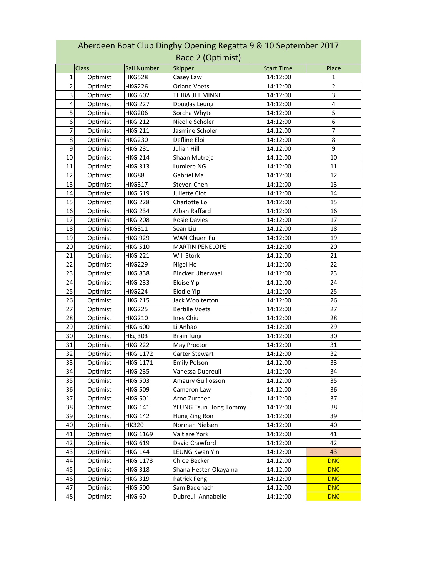| Race 2 (Optimist) |          |                 |                          |                   |            |
|-------------------|----------|-----------------|--------------------------|-------------------|------------|
|                   | Class    | Sail Number     | Skipper                  | <b>Start Time</b> | Place      |
| 1                 | Optimist | <b>HKG528</b>   | Casey Law                | 14:12:00          | 1          |
| 2                 | Optimist | <b>HKG226</b>   | <b>Oriane Voets</b>      | 14:12:00          | 2          |
| 3                 | Optimist | <b>HKG 602</b>  | THIBAULT MINNE           | 14:12:00          | 3          |
| 4                 | Optimist | <b>HKG 227</b>  | Douglas Leung            | 14:12:00          | 4          |
| 5                 | Optimist | HKG206          | Sorcha Whyte             | 14:12:00          | 5          |
| 6                 | Optimist | <b>HKG 212</b>  | Nicolle Scholer          | 14:12:00          | 6          |
| 7                 | Optimist | <b>HKG 211</b>  | Jasmine Scholer          | 14:12:00          | 7          |
| 8                 | Optimist | <b>HKG230</b>   | Defline Eloi             | 14:12:00          | 8          |
| 9                 | Optimist | <b>HKG 231</b>  | Julian Hill              | 14:12:00          | 9          |
| 10                | Optimist | <b>HKG 214</b>  | Shaan Mutreja            | 14:12:00          | 10         |
| 11                | Optimist | <b>HKG 313</b>  | Lumiere NG               | 14:12:00          | 11         |
| 12                | Optimist | HKG88           | Gabriel Ma               | 14:12:00          | 12         |
| 13                | Optimist | <b>HKG317</b>   | Steven Chen              | 14:12:00          | 13         |
| 14                | Optimist | <b>HKG 519</b>  | Juliette Clot            | 14:12:00          | 14         |
| 15                | Optimist | <b>HKG 228</b>  | Charlotte Lo             | 14:12:00          | 15         |
| 16                | Optimist | <b>HKG 234</b>  | Alban Raffard            | 14:12:00          | 16         |
| 17                | Optimist | <b>HKG 208</b>  | Rosie Davies             | 14:12:00          | 17         |
| 18                | Optimist | <b>HKG311</b>   | Sean Liu                 | 14:12:00          | 18         |
| 19                | Optimist | <b>HKG 929</b>  | <b>WAN Chuen Fu</b>      | 14:12:00          | 19         |
| 20                | Optimist | <b>HKG 510</b>  | <b>MARTIN PENELOPE</b>   | 14:12:00          | 20         |
| 21                | Optimist | <b>HKG 221</b>  | Will Stork               | 14:12:00          | 21         |
| 22                | Optimist | <b>HKG229</b>   | Nigel Ho                 | 14:12:00          | 22         |
| 23                | Optimist | <b>HKG 838</b>  | <b>Bincker Uiterwaal</b> | 14:12:00          | 23         |
| 24                | Optimist | <b>HKG 233</b>  | Eloise Yip               | 14:12:00          | 24         |
| 25                | Optimist | <b>HKG224</b>   | Elodie Yip               | 14:12:00          | 25         |
| 26                | Optimist | <b>HKG 215</b>  | Jack Woolterton          | 14:12:00          | 26         |
| 27                | Optimist | <b>HKG225</b>   | <b>Bertille Voets</b>    | 14:12:00          | 27         |
| 28                | Optimist | <b>HKG210</b>   | Ines Chiu                | 14:12:00          | 28         |
| 29                | Optimist | <b>HKG 600</b>  | Li Anhao                 | 14:12:00          | 29         |
| 30                | Optimist | <b>Hkg 303</b>  | Brain fung               | 14:12:00          | 30         |
| 31                | Optimist | <b>HKG 222</b>  | May Proctor              | 14:12:00          | 31         |
| 32                | Optimist | <b>HKG 1172</b> | Carter Stewart           | 14:12:00          | 32         |
| 33                | Optimist | <b>HKG 1171</b> | <b>Emily Polson</b>      | 14:12:00          | 33         |
| 34                | Optimist | <b>HKG 235</b>  | Vanessa Dubreuil         | 14:12:00          | 34         |
| 35                | Optimist | <b>HKG 503</b>  | Amaury Guillosson        | 14:12:00          | 35         |
| 36                | Optimist | <b>HKG 509</b>  | Cameron Law              | 14:12:00          | 36         |
| 37                | Optimist | <b>HKG 501</b>  | Arno Zurcher             | 14:12:00          | 37         |
| 38                | Optimist | <b>HKG 141</b>  | YEUNG Tsun Hong Tommy    | 14:12:00          | 38         |
| 39                | Optimist | <b>HKG 142</b>  | Hung Zing Ron            | 14:12:00          | 39         |
| 40                | Optimist | HK320           | Norman Nielsen           | 14:12:00          | 40         |
| 41                | Optimist | HKG 1169        | Vaitiare York            | 14:12:00          | 41         |
| 42                | Optimist | <b>HKG 619</b>  | David Crawford           | 14:12:00          | 42         |
| 43                | Optimist | <b>HKG 144</b>  | LEUNG Kwan Yin           | 14:12:00          | 43         |
| 44                | Optimist | HKG 1173        | Chloe Becker             | 14:12:00          | <b>DNC</b> |
| 45                | Optimist | HKG 318         | Shana Hester-Okayama     | 14:12:00          | <b>DNC</b> |
| 46                | Optimist | HKG 319         | Patrick Feng             | 14:12:00          | <b>DNC</b> |
| 47                | Optimist | <b>HKG 500</b>  | Sam Badenach             | 14:12:00          | <b>DNC</b> |
| 48                | Optimist | <b>HKG 60</b>   | Dubreuil Annabelle       | 14:12:00          | <b>DNC</b> |

## Aberdeen Boat Club Dinghy Opening Regatta 9 & 10 September 2017